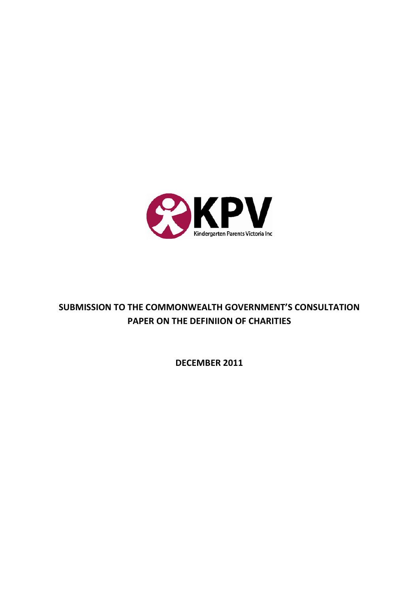

# **SUBMISSION TO THE COMMONWEALTH GOVERNMENT'S CONSULTATION PAPER ON THE DEFINIION OF CHARITIES**

**DECEMBER 2011**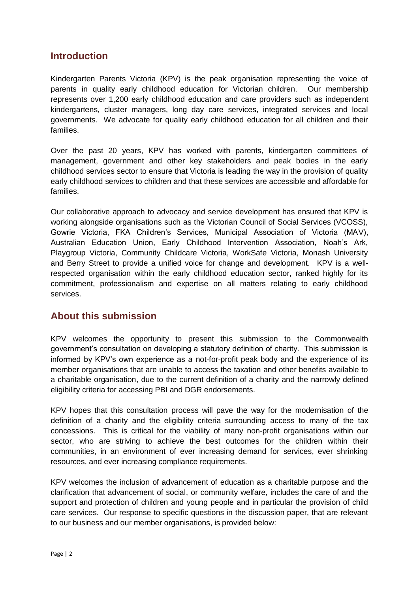# **Introduction**

Kindergarten Parents Victoria (KPV) is the peak organisation representing the voice of parents in quality early childhood education for Victorian children. Our membership represents over 1,200 early childhood education and care providers such as independent kindergartens, cluster managers, long day care services, integrated services and local governments. We advocate for quality early childhood education for all children and their families.

Over the past 20 years, KPV has worked with parents, kindergarten committees of management, government and other key stakeholders and peak bodies in the early childhood services sector to ensure that Victoria is leading the way in the provision of quality early childhood services to children and that these services are accessible and affordable for families.

Our collaborative approach to advocacy and service development has ensured that KPV is working alongside organisations such as the Victorian Council of Social Services (VCOSS), Gowrie Victoria, FKA Children"s Services, Municipal Association of Victoria (MAV), Australian Education Union, Early Childhood Intervention Association, Noah"s Ark, Playgroup Victoria, Community Childcare Victoria, WorkSafe Victoria, Monash University and Berry Street to provide a unified voice for change and development. KPV is a wellrespected organisation within the early childhood education sector, ranked highly for its commitment, professionalism and expertise on all matters relating to early childhood services.

# **About this submission**

KPV welcomes the opportunity to present this submission to the Commonwealth government"s consultation on developing a statutory definition of charity. This submission is informed by KPV"s own experience as a not-for-profit peak body and the experience of its member organisations that are unable to access the taxation and other benefits available to a charitable organisation, due to the current definition of a charity and the narrowly defined eligibility criteria for accessing PBI and DGR endorsements.

KPV hopes that this consultation process will pave the way for the modernisation of the definition of a charity and the eligibility criteria surrounding access to many of the tax concessions. This is critical for the viability of many non-profit organisations within our sector, who are striving to achieve the best outcomes for the children within their communities, in an environment of ever increasing demand for services, ever shrinking resources, and ever increasing compliance requirements.

KPV welcomes the inclusion of advancement of education as a charitable purpose and the clarification that advancement of social, or community welfare, includes the care of and the support and protection of children and young people and in particular the provision of child care services. Our response to specific questions in the discussion paper, that are relevant to our business and our member organisations, is provided below: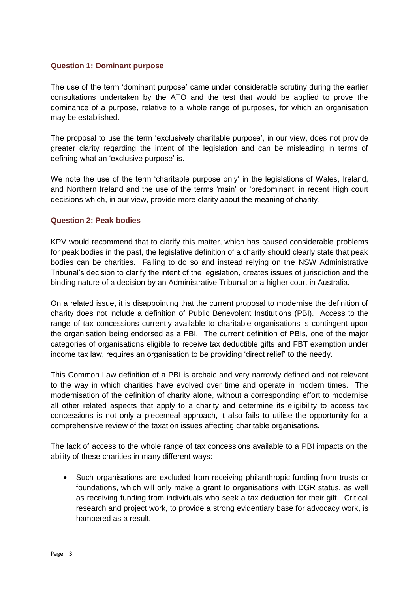### **Question 1: Dominant purpose**

The use of the term "dominant purpose" came under considerable scrutiny during the earlier consultations undertaken by the ATO and the test that would be applied to prove the dominance of a purpose, relative to a whole range of purposes, for which an organisation may be established.

The proposal to use the term "exclusively charitable purpose", in our view, does not provide greater clarity regarding the intent of the legislation and can be misleading in terms of defining what an 'exclusive purpose' is.

We note the use of the term 'charitable purpose only' in the legislations of Wales, Ireland, and Northern Ireland and the use of the terms "main" or "predominant" in recent High court decisions which, in our view, provide more clarity about the meaning of charity.

# **Question 2: Peak bodies**

KPV would recommend that to clarify this matter, which has caused considerable problems for peak bodies in the past, the legislative definition of a charity should clearly state that peak bodies can be charities. Failing to do so and instead relying on the NSW Administrative Tribunal"s decision to clarify the intent of the legislation, creates issues of jurisdiction and the binding nature of a decision by an Administrative Tribunal on a higher court in Australia.

On a related issue, it is disappointing that the current proposal to modernise the definition of charity does not include a definition of Public Benevolent Institutions (PBI). Access to the range of tax concessions currently available to charitable organisations is contingent upon the organisation being endorsed as a PBI. The current definition of PBIs, one of the major categories of organisations eligible to receive tax deductible gifts and FBT exemption under income tax law, requires an organisation to be providing "direct relief" to the needy.

This Common Law definition of a PBI is archaic and very narrowly defined and not relevant to the way in which charities have evolved over time and operate in modern times. The modernisation of the definition of charity alone, without a corresponding effort to modernise all other related aspects that apply to a charity and determine its eligibility to access tax concessions is not only a piecemeal approach, it also fails to utilise the opportunity for a comprehensive review of the taxation issues affecting charitable organisations.

The lack of access to the whole range of tax concessions available to a PBI impacts on the ability of these charities in many different ways:

 Such organisations are excluded from receiving philanthropic funding from trusts or foundations, which will only make a grant to organisations with DGR status, as well as receiving funding from individuals who seek a tax deduction for their gift. Critical research and project work, to provide a strong evidentiary base for advocacy work, is hampered as a result.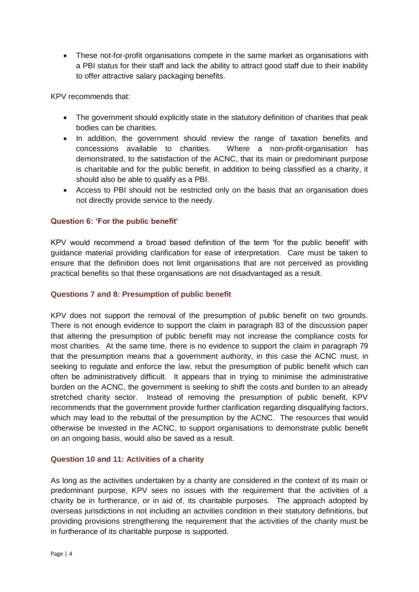These not-for-profit organisations compete in the same market as organisations with a PBI status for their staff and lack the ability to attract good staff due to their inability to offer attractive salary packaging benefits.

KPV recommends that:

- The government should explicitly state in the statutory definition of charities that peak bodies can be charities.
- In addition, the government should review the range of taxation benefits and concessions available to charities. Where a non-profit-organisation has demonstrated, to the satisfaction of the ACNC, that its main or predominant purpose is charitable and for the public benefit, in addition to being classified as a charity, it should also be able to qualify as a PBI.
- Access to PBI should not be restricted only on the basis that an organisation does not directly provide service to the needy.

# **Question 6: 'For the public benefit'**

KPV would recommend a broad based definition of the term "for the public benefit" with guidance material providing clarification for ease of interpretation. Care must be taken to ensure that the definition does not limit organisations that are not perceived as providing practical benefits so that these organisations are not disadvantaged as a result.

# **Questions 7 and 8: Presumption of public benefit**

KPV does not support the removal of the presumption of public benefit on two grounds. There is not enough evidence to support the claim in paragraph 83 of the discussion paper that altering the presumption of public benefit may not increase the compliance costs for most charities. At the same time, there is no evidence to support the claim in paragraph 79 that the presumption means that a government authority, in this case the ACNC must, in seeking to regulate and enforce the law, rebut the presumption of public benefit which can often be administratively difficult. It appears that in trying to minimise the administrative burden on the ACNC, the government is seeking to shift the costs and burden to an already stretched charity sector. Instead of removing the presumption of public benefit, KPV recommends that the government provide further clarification regarding disqualifying factors, which may lead to the rebuttal of the presumption by the ACNC. The resources that would otherwise be invested in the ACNC, to support organisations to demonstrate public benefit on an ongoing basis, would also be saved as a result.

# **Question 10 and 11: Activities of a charity**

As long as the activities undertaken by a charity are considered in the context of its main or predominant purpose, KPV sees no issues with the requirement that the activities of a charity be in furtherance, or in aid of, its charitable purposes. The approach adopted by overseas jurisdictions in not including an activities condition in their statutory definitions, but providing provisions strengthening the requirement that the activities of the charity must be in furtherance of its charitable purpose is supported.